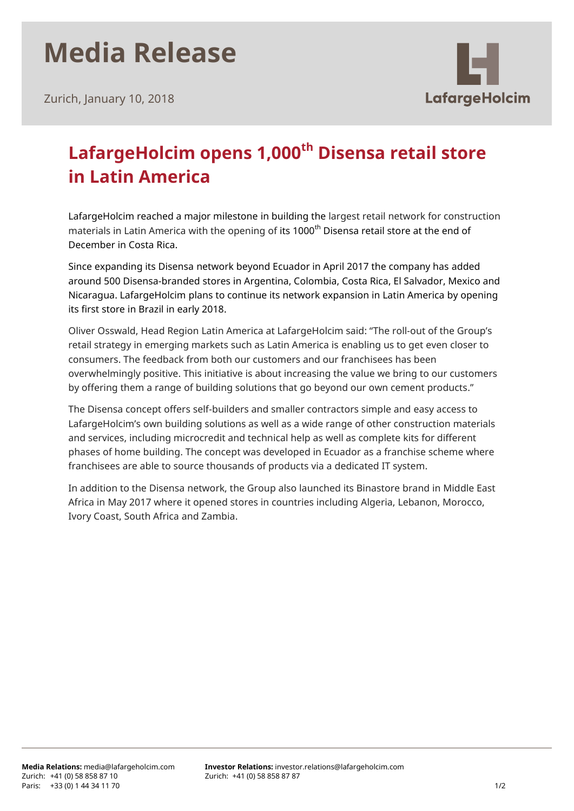## **Media Release**



Zurich, January 10, 2018

## **LafargeHolcim opens 1,000th Disensa retail store in Latin America**

LafargeHolcim reached a major milestone in building the largest retail network for construction materials in Latin America with the opening of its 1000<sup>th</sup> Disensa retail store at the end of December in Costa Rica.

Since expanding its Disensa network beyond Ecuador in April 2017 the company has added around 500 Disensa-branded stores in Argentina, Colombia, Costa Rica, El Salvador, Mexico and Nicaragua. LafargeHolcim plans to continue its network expansion in Latin America by opening its first store in Brazil in early 2018.

Oliver Osswald, Head Region Latin America at LafargeHolcim said: "The roll-out of the Group's retail strategy in emerging markets such as Latin America is enabling us to get even closer to consumers. The feedback from both our customers and our franchisees has been overwhelmingly positive. This initiative is about increasing the value we bring to our customers by offering them a range of building solutions that go beyond our own cement products."

The Disensa concept offers self-builders and smaller contractors simple and easy access to LafargeHolcim's own building solutions as well as a wide range of other construction materials and services, including microcredit and technical help as well as complete kits for different phases of home building. The concept was developed in Ecuador as a franchise scheme where franchisees are able to source thousands of products via a dedicated IT system.

In addition to the Disensa network, the Group also launched its Binastore brand in Middle East Africa in May 2017 where it opened stores in countries including Algeria, Lebanon, Morocco, Ivory Coast, South Africa and Zambia.